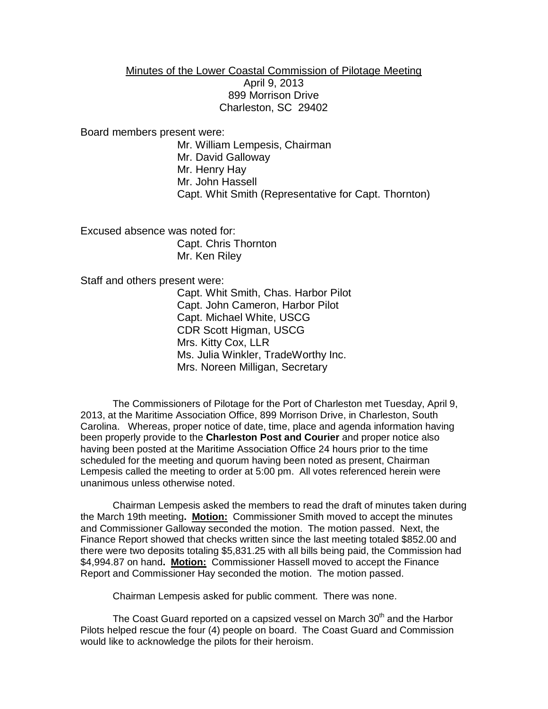## Minutes of the Lower Coastal Commission of Pilotage Meeting April 9, 2013 899 Morrison Drive Charleston, SC 29402

Board members present were:

Mr. William Lempesis, Chairman Mr. David Galloway Mr. Henry Hay Mr. John Hassell Capt. Whit Smith (Representative for Capt. Thornton)

Excused absence was noted for: Capt. Chris Thornton Mr. Ken Riley

Staff and others present were:

Capt. Whit Smith, Chas. Harbor Pilot Capt. John Cameron, Harbor Pilot Capt. Michael White, USCG CDR Scott Higman, USCG Mrs. Kitty Cox, LLR Ms. Julia Winkler, TradeWorthy Inc. Mrs. Noreen Milligan, Secretary

The Commissioners of Pilotage for the Port of Charleston met Tuesday, April 9, 2013, at the Maritime Association Office, 899 Morrison Drive, in Charleston, South Carolina. Whereas, proper notice of date, time, place and agenda information having been properly provide to the **Charleston Post and Courier** and proper notice also having been posted at the Maritime Association Office 24 hours prior to the time scheduled for the meeting and quorum having been noted as present, Chairman Lempesis called the meeting to order at 5:00 pm. All votes referenced herein were unanimous unless otherwise noted.

Chairman Lempesis asked the members to read the draft of minutes taken during the March 19th meeting**. Motion:** Commissioner Smith moved to accept the minutes and Commissioner Galloway seconded the motion. The motion passed. Next, the Finance Report showed that checks written since the last meeting totaled \$852.00 and there were two deposits totaling \$5,831.25 with all bills being paid, the Commission had \$4,994.87 on hand**. Motion:** Commissioner Hassell moved to accept the Finance Report and Commissioner Hay seconded the motion. The motion passed.

Chairman Lempesis asked for public comment. There was none.

The Coast Guard reported on a capsized vessel on March  $30<sup>th</sup>$  and the Harbor Pilots helped rescue the four (4) people on board. The Coast Guard and Commission would like to acknowledge the pilots for their heroism.